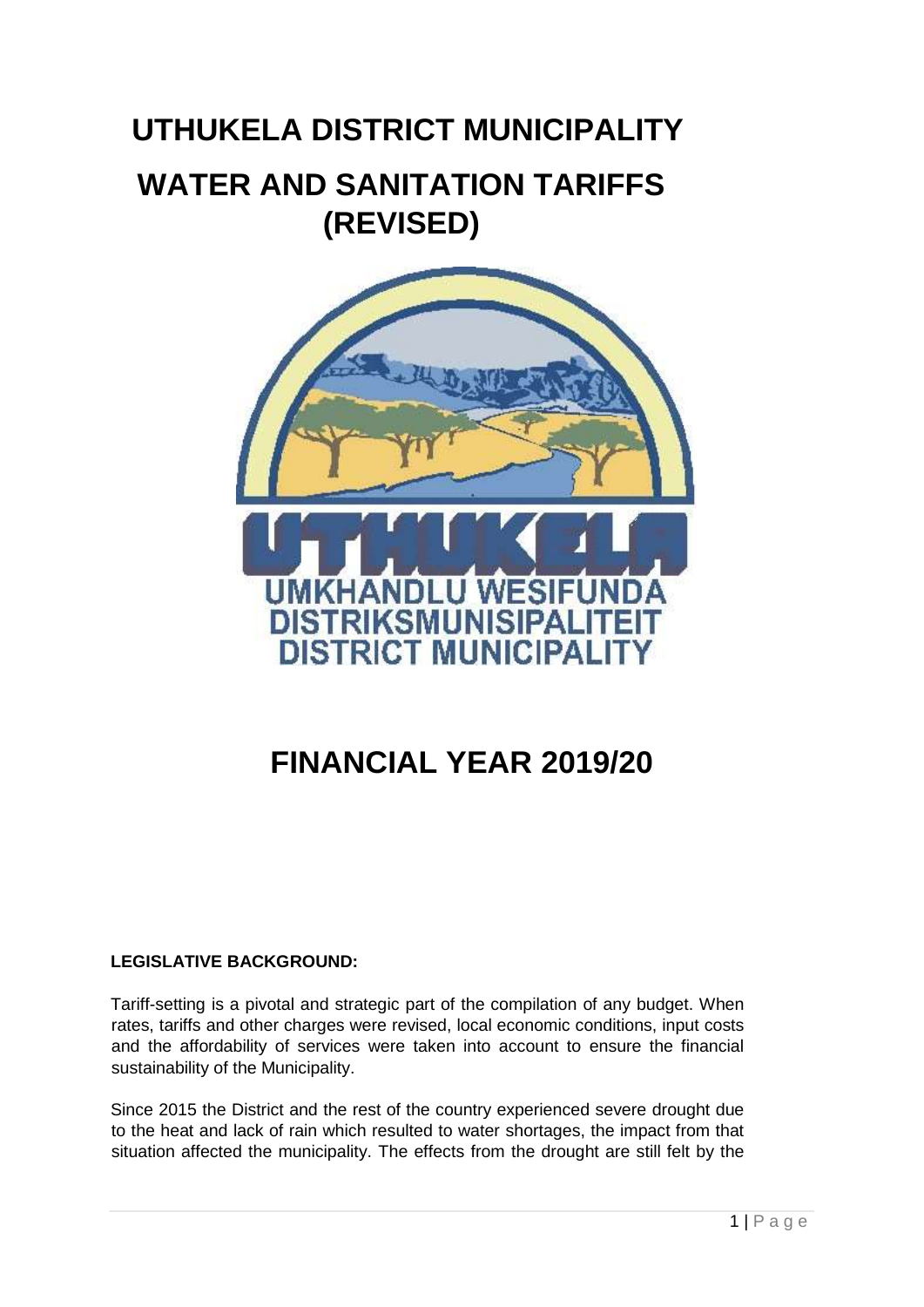# **UTHUKELA DISTRICT MUNICIPALITY WATER AND SANITATION TARIFFS (REVISED)**



## **FINANCIAL YEAR 2019/20**

#### **LEGISLATIVE BACKGROUND:**

Tariff-setting is a pivotal and strategic part of the compilation of any budget. When rates, tariffs and other charges were revised, local economic conditions, input costs and the affordability of services were taken into account to ensure the financial sustainability of the Municipality.

Since 2015 the District and the rest of the country experienced severe drought due to the heat and lack of rain which resulted to water shortages, the impact from that situation affected the municipality. The effects from the drought are still felt by the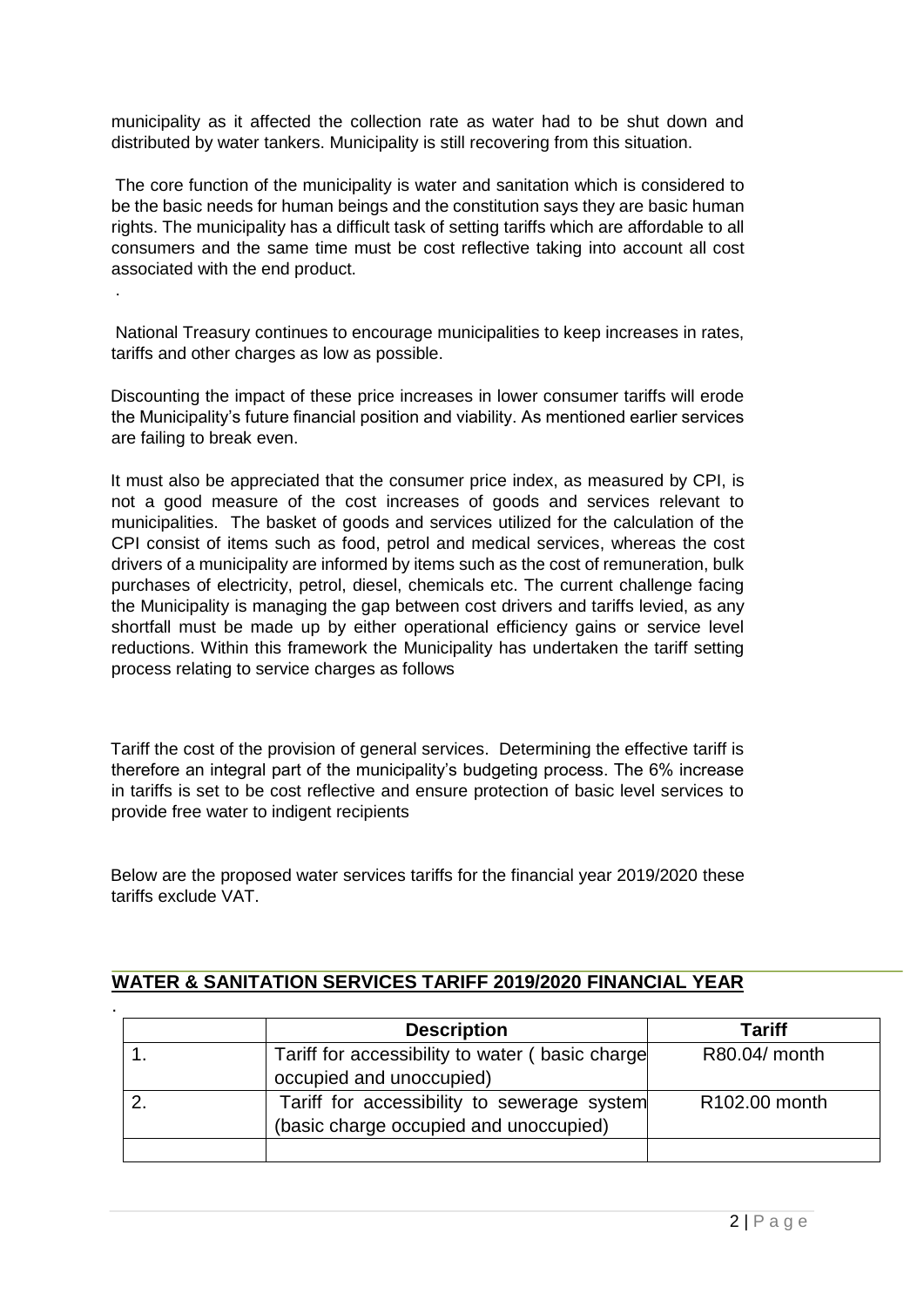municipality as it affected the collection rate as water had to be shut down and distributed by water tankers. Municipality is still recovering from this situation.

The core function of the municipality is water and sanitation which is considered to be the basic needs for human beings and the constitution says they are basic human rights. The municipality has a difficult task of setting tariffs which are affordable to all consumers and the same time must be cost reflective taking into account all cost associated with the end product.

National Treasury continues to encourage municipalities to keep increases in rates, tariffs and other charges as low as possible.

.

Discounting the impact of these price increases in lower consumer tariffs will erode the Municipality's future financial position and viability. As mentioned earlier services are failing to break even.

It must also be appreciated that the consumer price index, as measured by CPI, is not a good measure of the cost increases of goods and services relevant to municipalities. The basket of goods and services utilized for the calculation of the CPI consist of items such as food, petrol and medical services, whereas the cost drivers of a municipality are informed by items such as the cost of remuneration, bulk purchases of electricity, petrol, diesel, chemicals etc. The current challenge facing the Municipality is managing the gap between cost drivers and tariffs levied, as any shortfall must be made up by either operational efficiency gains or service level reductions. Within this framework the Municipality has undertaken the tariff setting process relating to service charges as follows

Tariff the cost of the provision of general services. Determining the effective tariff is therefore an integral part of the municipality's budgeting process. The 6% increase in tariffs is set to be cost reflective and ensure protection of basic level services to provide free water to indigent recipients

Below are the proposed water services tariffs for the financial year 2019/2020 these tariffs exclude VAT.

| <b>Description</b>                                                                    | <b>Tariff</b> |
|---------------------------------------------------------------------------------------|---------------|
| Tariff for accessibility to water (basic charge<br>occupied and unoccupied)           | R80.04/ month |
| Tariff for accessibility to sewerage system<br>(basic charge occupied and unoccupied) | R102.00 month |

#### **WATER & SANITATION SERVICES TARIFF 2019/2020 FINANCIAL YEAR**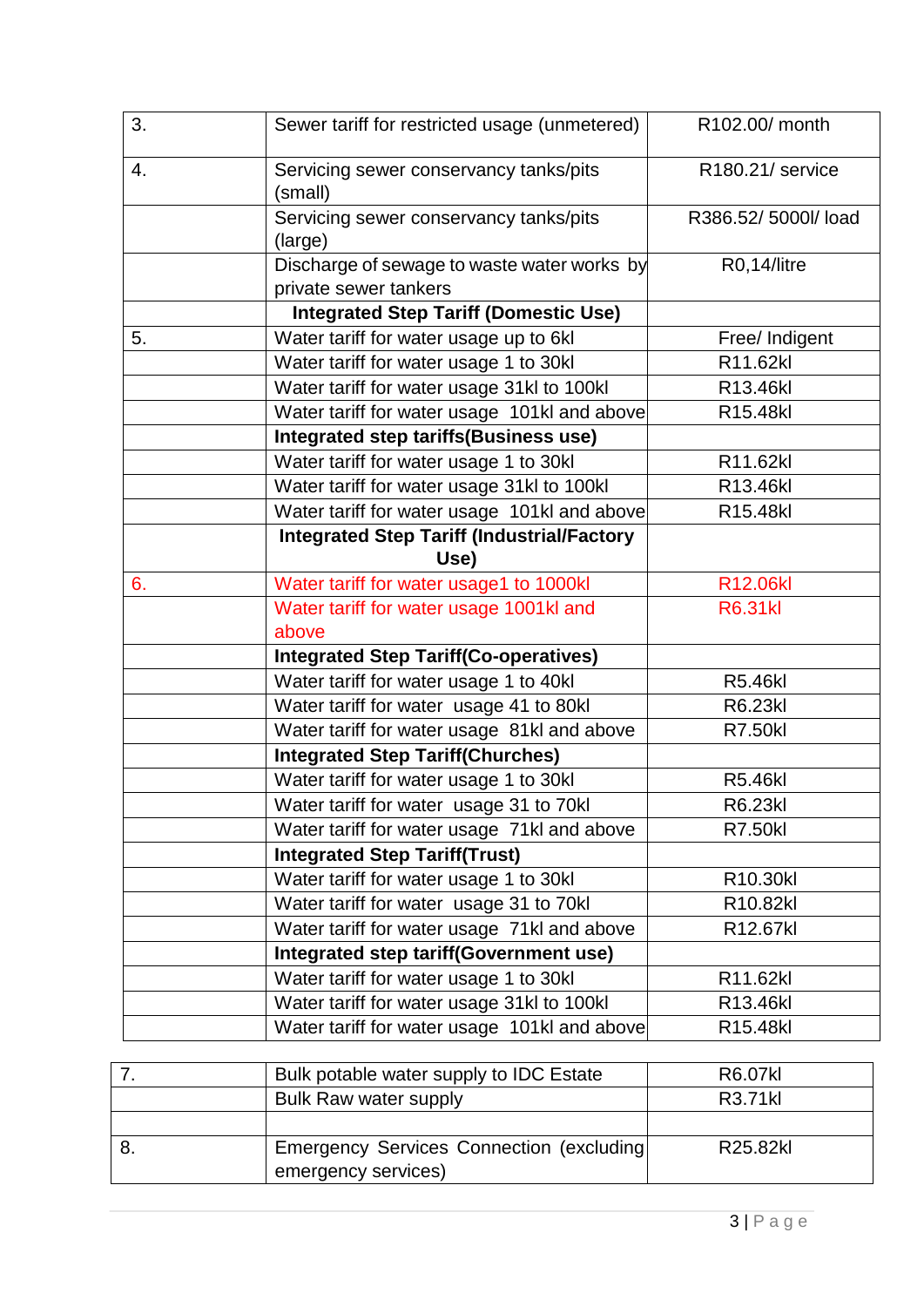| 3. | Sewer tariff for restricted usage (unmetered)                        | R102.00/ month     |
|----|----------------------------------------------------------------------|--------------------|
| 4. | Servicing sewer conservancy tanks/pits<br>(small)                    | R180.21/ service   |
|    | Servicing sewer conservancy tanks/pits<br>(large)                    | R386.52/5000l/load |
|    | Discharge of sewage to waste water works by<br>private sewer tankers | R0,14/litre        |
|    | <b>Integrated Step Tariff (Domestic Use)</b>                         |                    |
| 5. | Water tariff for water usage up to 6kl                               | Free/ Indigent     |
|    | Water tariff for water usage 1 to 30kl                               | R11.62kl           |
|    | Water tariff for water usage 31kl to 100kl                           | R13.46kl           |
|    | Water tariff for water usage 101kl and above                         | R15.48kl           |
|    | Integrated step tariffs(Business use)                                |                    |
|    | Water tariff for water usage 1 to 30kl                               | R11.62kl           |
|    | Water tariff for water usage 31kl to 100kl                           | R13.46kl           |
|    | Water tariff for water usage 101kl and above                         | R15.48kl           |
|    | <b>Integrated Step Tariff (Industrial/Factory</b>                    |                    |
|    | Use)                                                                 |                    |
| 6. | Water tariff for water usage1 to 1000kl                              | R12.06kl           |
|    | Water tariff for water usage 1001kl and                              | <b>R6.31kl</b>     |
|    | above                                                                |                    |
|    | <b>Integrated Step Tariff(Co-operatives)</b>                         |                    |
|    | Water tariff for water usage 1 to 40kl                               | <b>R5.46kl</b>     |
|    | Water tariff for water usage 41 to 80kl                              | R6.23kl            |
|    | Water tariff for water usage 81kl and above                          | <b>R7.50kl</b>     |
|    | <b>Integrated Step Tariff(Churches)</b>                              |                    |
|    | Water tariff for water usage 1 to 30kl                               | <b>R5.46kl</b>     |
|    | Water tariff for water usage 31 to 70kl                              | R6.23kl            |
|    | Water tariff for water usage 71kl and above                          | <b>R7.50kl</b>     |
|    | <b>Integrated Step Tariff(Trust)</b>                                 |                    |
|    | Water tariff for water usage 1 to 30kl                               | R10.30kl           |
|    | Water tariff for water usage 31 to 70kl                              | R10.82kl           |
|    | Water tariff for water usage 71kl and above                          | R12.67kl           |
|    | Integrated step tariff(Government use)                               |                    |
|    | Water tariff for water usage 1 to 30kl                               | R11.62kl           |
|    | Water tariff for water usage 31kl to 100kl                           | R13.46kl           |
|    | Water tariff for water usage 101kl and above                         | R15.48kl           |

| Bulk potable water supply to IDC Estate                                 | R6.07kl  |
|-------------------------------------------------------------------------|----------|
| Bulk Raw water supply                                                   | R3.71kl  |
|                                                                         |          |
| <b>Emergency Services Connection (excluding)</b><br>emergency services) | R25.82kl |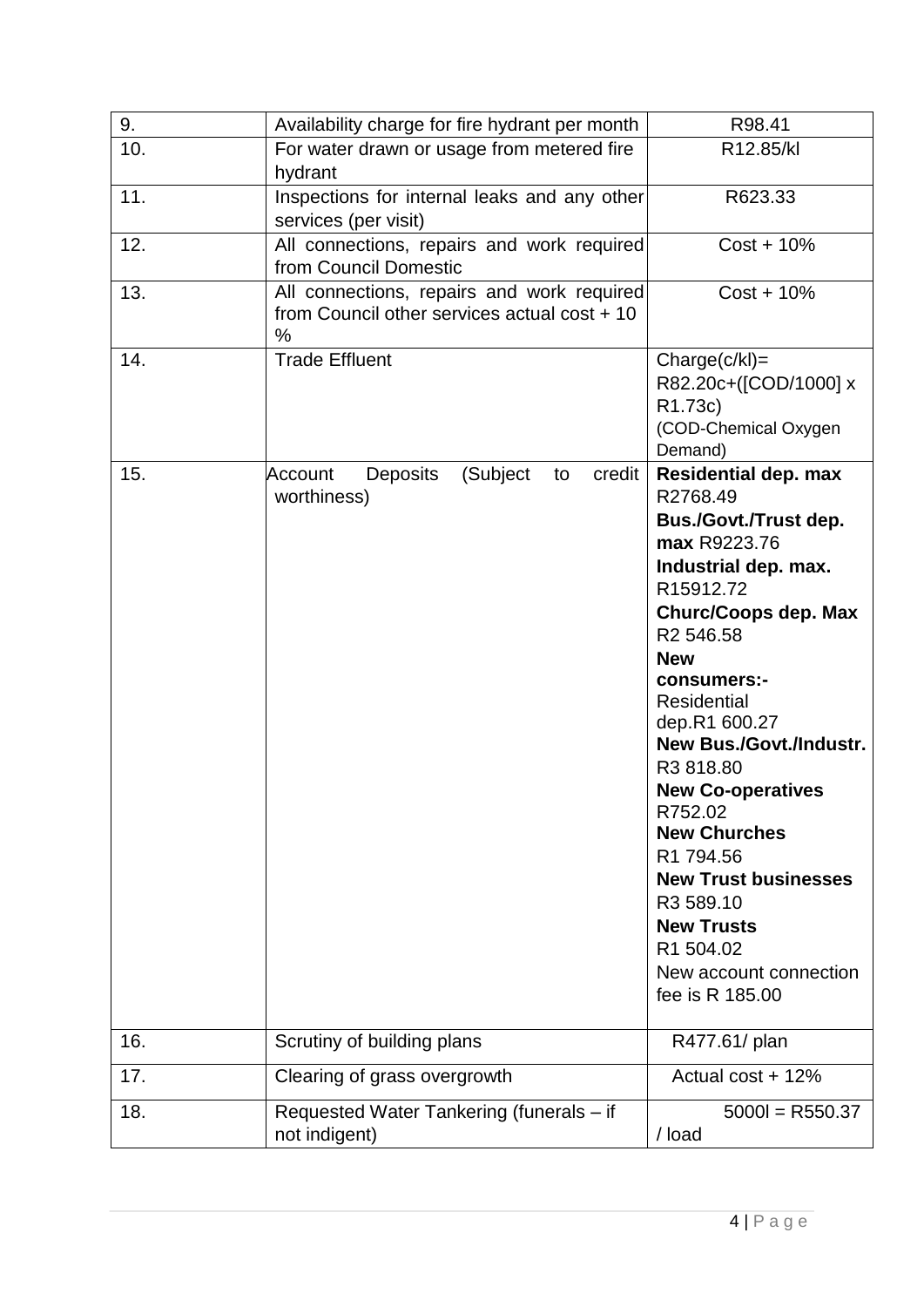| 9.  | Availability charge for fire hydrant per month                                                  | R98.41                                                                                                                                                                                                                                                                                                                                                                                                                                                                                          |
|-----|-------------------------------------------------------------------------------------------------|-------------------------------------------------------------------------------------------------------------------------------------------------------------------------------------------------------------------------------------------------------------------------------------------------------------------------------------------------------------------------------------------------------------------------------------------------------------------------------------------------|
| 10. | For water drawn or usage from metered fire<br>hydrant                                           | R12.85/kl                                                                                                                                                                                                                                                                                                                                                                                                                                                                                       |
| 11. | Inspections for internal leaks and any other<br>services (per visit)                            | R623.33                                                                                                                                                                                                                                                                                                                                                                                                                                                                                         |
| 12. | All connections, repairs and work required<br>from Council Domestic                             | $Cost + 10\%$                                                                                                                                                                                                                                                                                                                                                                                                                                                                                   |
| 13. | All connections, repairs and work required<br>from Council other services actual cost + 10<br>% | $Cost + 10\%$                                                                                                                                                                                                                                                                                                                                                                                                                                                                                   |
| 14. | <b>Trade Effluent</b>                                                                           | $Change(c/kl) =$<br>R82.20c+([COD/1000] x<br>R1.73c)<br>(COD-Chemical Oxygen<br>Demand)                                                                                                                                                                                                                                                                                                                                                                                                         |
| 15. | <b>Deposits</b><br>(Subject<br>credit<br>Account<br>to<br>worthiness)                           | <b>Residential dep. max</b><br>R2768.49<br>Bus./Govt./Trust dep.<br>max R9223.76<br>Industrial dep. max.<br>R15912.72<br><b>Churc/Coops dep. Max</b><br>R <sub>2</sub> 546.58<br><b>New</b><br>consumers:-<br><b>Residential</b><br>dep.R1 600.27<br>New Bus./Govt./Industr.<br>R3 818.80<br><b>New Co-operatives</b><br>R752.02<br><b>New Churches</b><br>R1 794.56<br><b>New Trust businesses</b><br>R3 589.10<br><b>New Trusts</b><br>R1 504.02<br>New account connection<br>fee is R 185.00 |
| 16. | Scrutiny of building plans                                                                      | R477.61/ plan                                                                                                                                                                                                                                                                                                                                                                                                                                                                                   |
| 17. | Clearing of grass overgrowth                                                                    | Actual cost + 12%                                                                                                                                                                                                                                                                                                                                                                                                                                                                               |
| 18. | Requested Water Tankering (funerals - if<br>not indigent)                                       | $5000 = R550.37$<br>/ load                                                                                                                                                                                                                                                                                                                                                                                                                                                                      |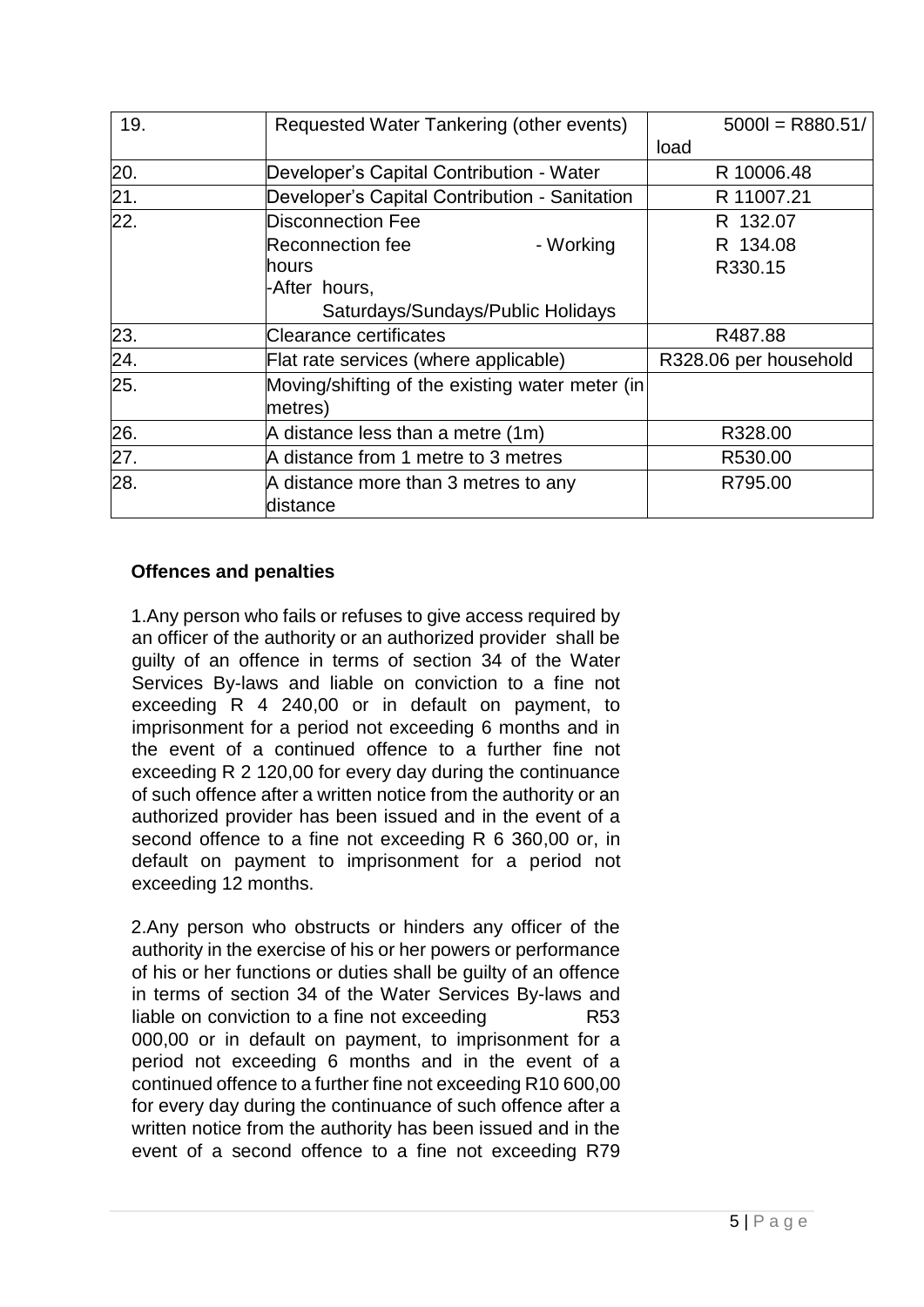| 19. | Requested Water Tankering (other events)        | $5000 = R880.51/$     |
|-----|-------------------------------------------------|-----------------------|
|     |                                                 | load                  |
| 20. | Developer's Capital Contribution - Water        | R 10006.48            |
| 21. | Developer's Capital Contribution - Sanitation   | R 11007.21            |
| 22. | Disconnection Fee                               | R 132.07              |
|     | <b>Reconnection fee</b><br>- Working            | R 134.08              |
|     | hours                                           | R330.15               |
|     | -After hours,                                   |                       |
|     | Saturdays/Sundays/Public Holidays               |                       |
| 23. | Clearance certificates                          | R487.88               |
| 24. | Flat rate services (where applicable)           | R328.06 per household |
| 25. | Moving/shifting of the existing water meter (in |                       |
|     | metres)                                         |                       |
| 26. | A distance less than a metre (1m)               | R328.00               |
| 27. | A distance from 1 metre to 3 metres             | R530.00               |
| 28. | A distance more than 3 metres to any            | R795.00               |
|     | distance                                        |                       |

#### **Offences and penalties**

1.Any person who fails or refuses to give access required by an officer of the authority or an authorized provider shall be guilty of an offence in terms of section 34 of the Water Services By-laws and liable on conviction to a fine not exceeding R 4 240,00 or in default on payment, to imprisonment for a period not exceeding 6 months and in the event of a continued offence to a further fine not exceeding R 2 120,00 for every day during the continuance of such offence after a written notice from the authority or an authorized provider has been issued and in the event of a second offence to a fine not exceeding R 6 360,00 or, in default on payment to imprisonment for a period not exceeding 12 months.

2.Any person who obstructs or hinders any officer of the authority in the exercise of his or her powers or performance of his or her functions or duties shall be guilty of an offence in terms of section 34 of the Water Services By-laws and liable on conviction to a fine not exceeding R53 000,00 or in default on payment, to imprisonment for a period not exceeding 6 months and in the event of a continued offence to a further fine not exceeding R10 600,00 for every day during the continuance of such offence after a written notice from the authority has been issued and in the event of a second offence to a fine not exceeding R79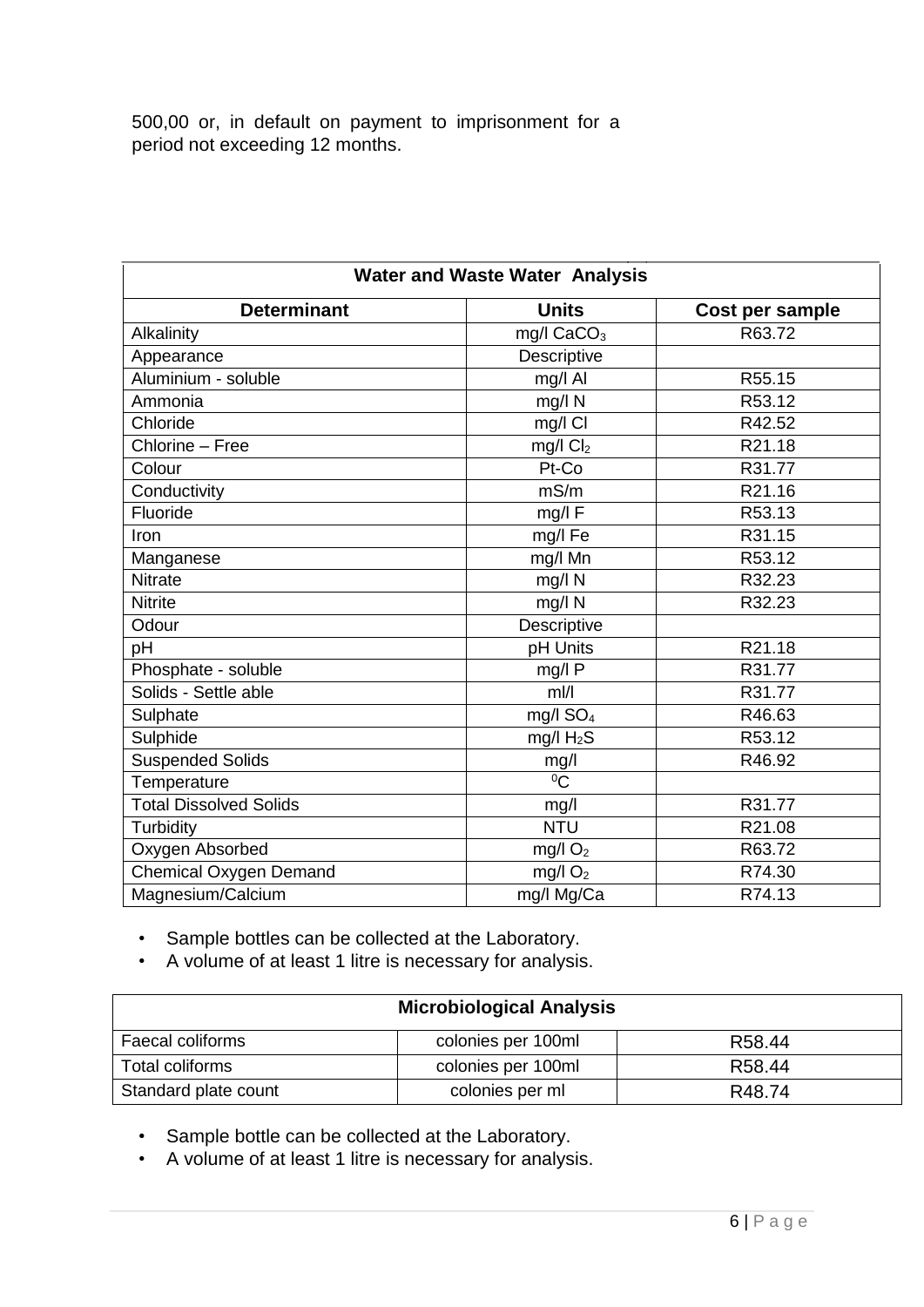500,00 or, in default on payment to imprisonment for a period not exceeding 12 months.

| <b>Water and Waste Water Analysis</b>                 |                        |        |  |  |
|-------------------------------------------------------|------------------------|--------|--|--|
| <b>Units</b><br><b>Determinant</b><br>Cost per sample |                        |        |  |  |
| Alkalinity                                            | mg/I CaCO <sub>3</sub> | R63.72 |  |  |
| Appearance                                            | Descriptive            |        |  |  |
| Aluminium - soluble                                   | mg/l Al                | R55.15 |  |  |
| Ammonia                                               | mg/l N                 | R53.12 |  |  |
| Chloride                                              | mg/l Cl                | R42.52 |  |  |
| Chlorine - Free                                       | $mg/l$ $Cl2$           | R21.18 |  |  |
| Colour                                                | Pt-Co                  | R31.77 |  |  |
| Conductivity                                          | mS/m                   | R21.16 |  |  |
| Fluoride                                              | mg/l F                 | R53.13 |  |  |
| Iron                                                  | mg/l Fe                | R31.15 |  |  |
| Manganese                                             | mg/l Mn                | R53.12 |  |  |
| <b>Nitrate</b>                                        | mg/l N                 | R32.23 |  |  |
| <b>Nitrite</b>                                        | mg/l N                 | R32.23 |  |  |
| Odour                                                 | Descriptive            |        |  |  |
| pH                                                    | pH Units               | R21.18 |  |  |
| Phosphate - soluble                                   | mg/l P                 | R31.77 |  |  |
| Solids - Settle able                                  | $m$ //                 | R31.77 |  |  |
| Sulphate                                              | mg/l SO <sub>4</sub>   | R46.63 |  |  |
| Sulphide                                              | mg/l H <sub>2</sub> S  | R53.12 |  |  |
| <b>Suspended Solids</b>                               | mg/l                   | R46.92 |  |  |
| Temperature                                           | $\overline{C}$         |        |  |  |
| <b>Total Dissolved Solids</b>                         | mg/l                   | R31.77 |  |  |
| Turbidity                                             | <b>NTU</b>             | R21.08 |  |  |
| Oxygen Absorbed                                       | mg/l $O2$              | R63.72 |  |  |
| <b>Chemical Oxygen Demand</b>                         | mg/l $O2$              | R74.30 |  |  |
| Magnesium/Calcium                                     | mg/l Mg/Ca             | R74.13 |  |  |

• Sample bottles can be collected at the Laboratory.

• A volume of at least 1 litre is necessary for analysis.

| <b>Microbiological Analysis</b> |                    |                    |  |
|---------------------------------|--------------------|--------------------|--|
| Faecal coliforms                | colonies per 100ml | R <sub>58.44</sub> |  |
| Total coliforms                 | colonies per 100ml | R58.44             |  |
| Standard plate count            | colonies per ml    | R48.74             |  |

• Sample bottle can be collected at the Laboratory.

• A volume of at least 1 litre is necessary for analysis.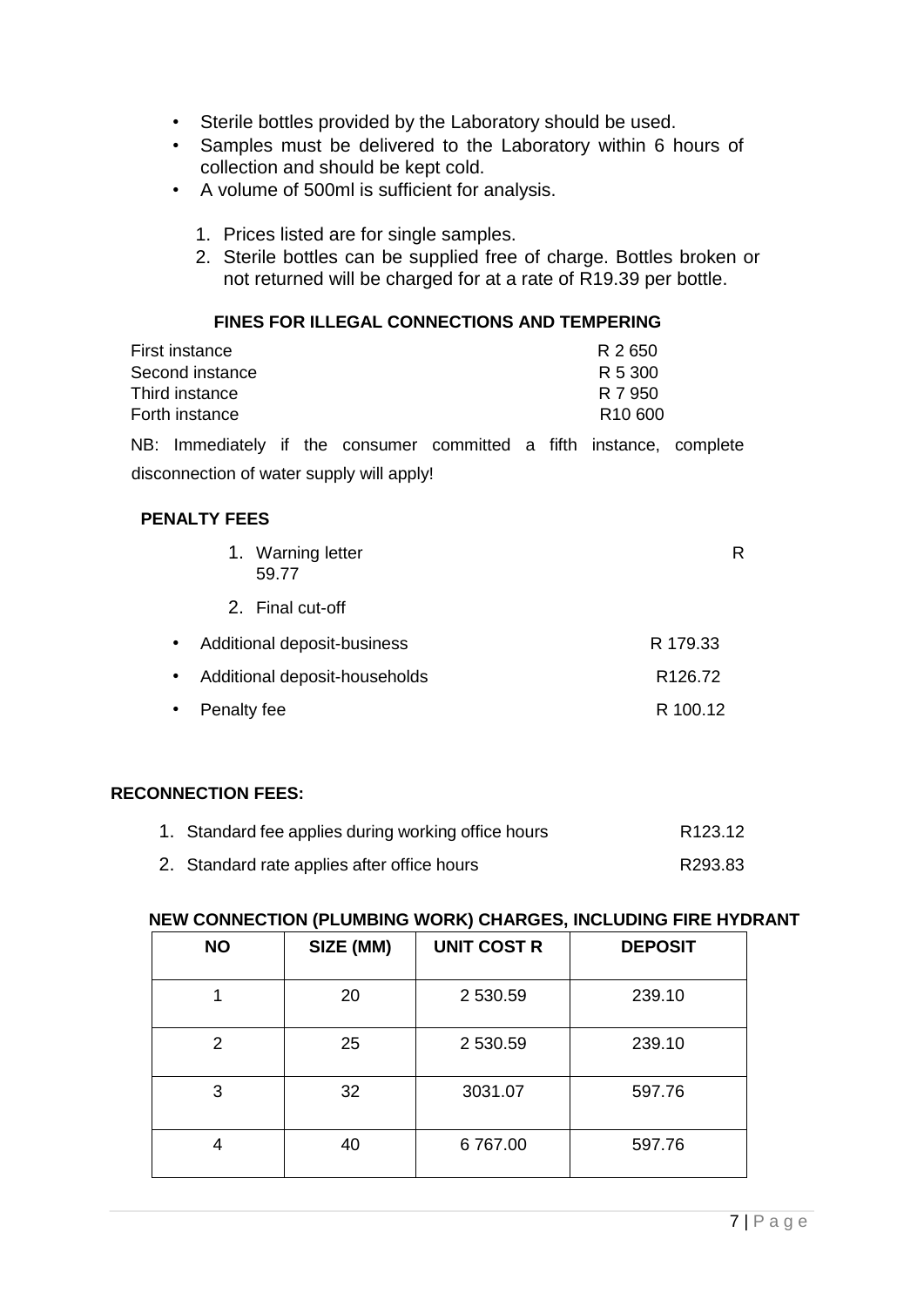- Sterile bottles provided by the Laboratory should be used.
- Samples must be delivered to the Laboratory within 6 hours of collection and should be kept cold.
- A volume of 500ml is sufficient for analysis.
	- 1. Prices listed are for single samples.
	- 2. Sterile bottles can be supplied free of charge. Bottles broken or not returned will be charged for at a rate of R19.39 per bottle.

#### **FINES FOR ILLEGAL CONNECTIONS AND TEMPERING**

| First instance  | R 2650              |
|-----------------|---------------------|
| Second instance | R 5 300             |
| Third instance  | R 7 950             |
| Forth instance  | R <sub>10</sub> 600 |
|                 |                     |

NB: Immediately if the consumer committed a fifth instance, complete disconnection of water supply will apply!

#### **PENALTY FEES**

|           | 1. Warning letter<br>59.77    | R                   |
|-----------|-------------------------------|---------------------|
|           | 2. Final cut-off              |                     |
| $\bullet$ | Additional deposit-business   | R 179.33            |
| $\bullet$ | Additional deposit-households | R <sub>126.72</sub> |
| $\bullet$ | Penalty fee                   | R 100.12            |

#### **RECONNECTION FEES:**

| 1. Standard fee applies during working office hours | R123.12 |
|-----------------------------------------------------|---------|
| 2. Standard rate applies after office hours         | R293.83 |

#### **NEW CONNECTION (PLUMBING WORK) CHARGES, INCLUDING FIRE HYDRANT**

| <b>NO</b> | SIZE (MM) | <b>UNIT COST R</b> | <b>DEPOSIT</b> |
|-----------|-----------|--------------------|----------------|
|           | 20        | 2 530.59           | 239.10         |
| 2         | 25        | 2 530.59           | 239.10         |
| 3         | 32        | 3031.07            | 597.76         |
| 4         | 40        | 6767.00            | 597.76         |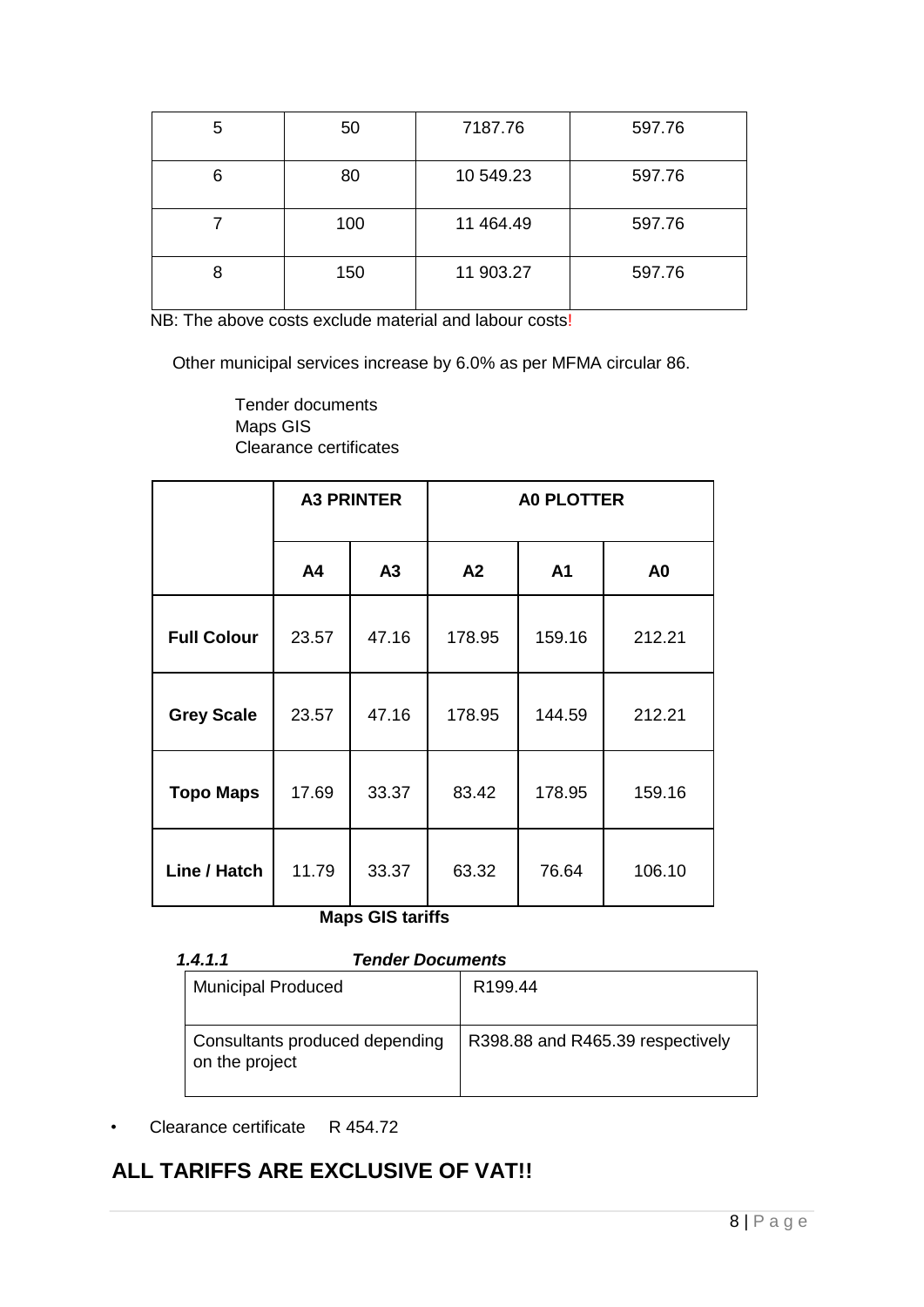| 5 | 50  | 7187.76   | 597.76 |
|---|-----|-----------|--------|
| 6 | 80  | 10 549.23 | 597.76 |
|   | 100 | 11 464.49 | 597.76 |
| 8 | 150 | 11 903.27 | 597.76 |

NB: The above costs exclude material and labour costs!

Other municipal services increase by 6.0% as per MFMA circular 86.

Tender documents Maps GIS Clearance certificates

|                    | <b>A3 PRINTER</b> |                | <b>A0 PLOTTER</b> |                |                |  |
|--------------------|-------------------|----------------|-------------------|----------------|----------------|--|
|                    | A4                | A <sub>3</sub> | A <sub>2</sub>    | A <sub>1</sub> | A <sub>0</sub> |  |
| <b>Full Colour</b> | 23.57             | 47.16          | 178.95            | 159.16         | 212.21         |  |
| <b>Grey Scale</b>  | 23.57             | 47.16          | 178.95            | 144.59         | 212.21         |  |
| <b>Topo Maps</b>   | 17.69             | 33.37          | 83.42             | 178.95         | 159.16         |  |
| Line / Hatch       | 11.79             | 33.37          | 63.32             | 76.64          | 106.10         |  |

**Maps GIS tariffs** 

| 1.4.1.1<br><b>Tender Documents</b>               |                                  |  |  |
|--------------------------------------------------|----------------------------------|--|--|
| <b>Municipal Produced</b>                        | R <sub>199.44</sub>              |  |  |
| Consultants produced depending<br>on the project | R398.88 and R465.39 respectively |  |  |

• Clearance certificate R 454.72

### **ALL TARIFFS ARE EXCLUSIVE OF VAT!!**